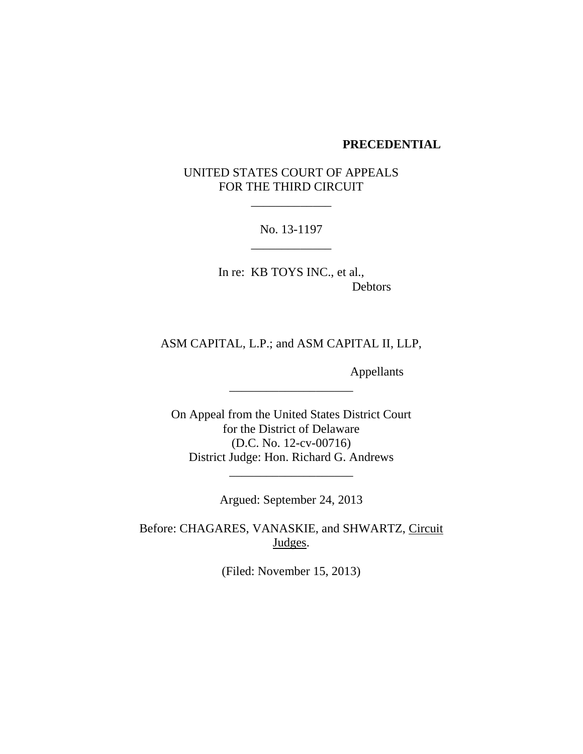#### **PRECEDENTIAL**

# UNITED STATES COURT OF APPEALS FOR THE THIRD CIRCUIT

\_\_\_\_\_\_\_\_\_\_\_\_\_

No. 13-1197 \_\_\_\_\_\_\_\_\_\_\_\_\_

In re: KB TOYS INC., et al., Debtors

# ASM CAPITAL, L.P.; and ASM CAPITAL II, LLP,

\_\_\_\_\_\_\_\_\_\_\_\_\_\_\_\_\_\_\_\_

Appellants

On Appeal from the United States District Court for the District of Delaware (D.C. No. 12-cv-00716) District Judge: Hon. Richard G. Andrews

Argued: September 24, 2013

\_\_\_\_\_\_\_\_\_\_\_\_\_\_\_\_\_\_\_\_

Before: CHAGARES, VANASKIE, and SHWARTZ, Circuit Judges.

(Filed: November 15, 2013)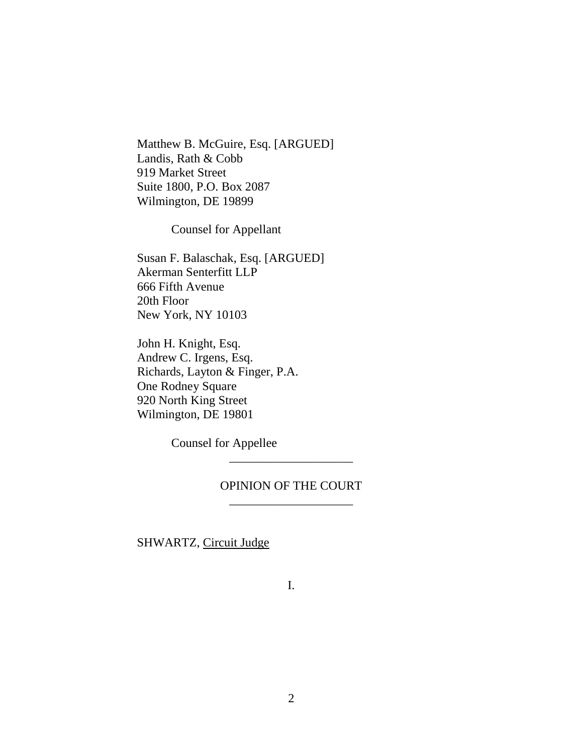Matthew B. McGuire, Esq. [ARGUED] Landis, Rath & Cobb 919 Market Street Suite 1800, P.O. Box 2087 Wilmington, DE 19899

Counsel for Appellant

Susan F. Balaschak, Esq. [ARGUED] Akerman Senterfitt LLP 666 Fifth Avenue 20th Floor New York, NY 10103

John H. Knight, Esq. Andrew C. Irgens, Esq. Richards, Layton & Finger, P.A. One Rodney Square 920 North King Street Wilmington, DE 19801

Counsel for Appellee

### OPINION OF THE COURT \_\_\_\_\_\_\_\_\_\_\_\_\_\_\_\_\_\_\_\_

\_\_\_\_\_\_\_\_\_\_\_\_\_\_\_\_\_\_\_\_

SHWARTZ, Circuit Judge

I.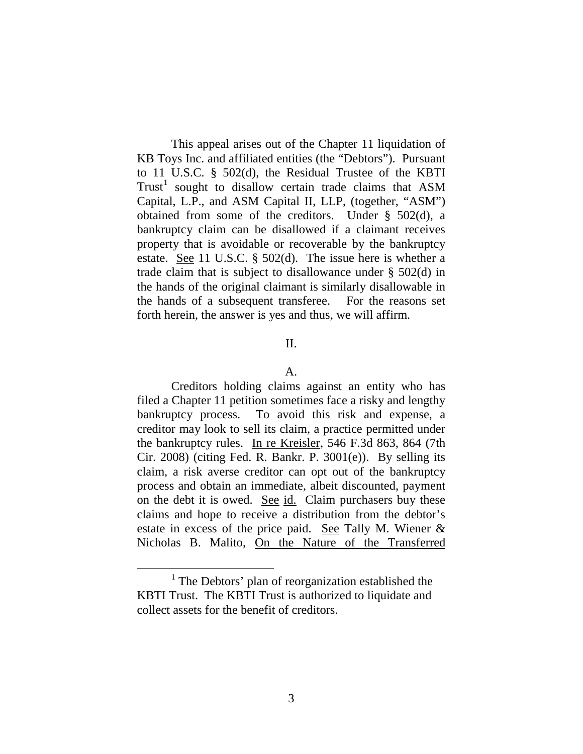This appeal arises out of the Chapter 11 liquidation of KB Toys Inc. and affiliated entities (the "Debtors"). Pursuant to 11 U.S.C. § 502(d), the Residual Trustee of the KBTI Trust<sup>[1](#page-2-0)</sup> sought to disallow certain trade claims that ASM Capital, L.P., and ASM Capital II, LLP, (together, "ASM") obtained from some of the creditors. Under § 502(d), a bankruptcy claim can be disallowed if a claimant receives property that is avoidable or recoverable by the bankruptcy estate. See 11 U.S.C. § 502(d). The issue here is whether a trade claim that is subject to disallowance under § 502(d) in the hands of the original claimant is similarly disallowable in the hands of a subsequent transferee. For the reasons set forth herein, the answer is yes and thus, we will affirm.

### II.

#### A.

Creditors holding claims against an entity who has filed a Chapter 11 petition sometimes face a risky and lengthy bankruptcy process. To avoid this risk and expense, a creditor may look to sell its claim, a practice permitted under the bankruptcy rules. In re Kreisler, 546 F.3d 863, 864 (7th Cir. 2008) (citing Fed. R. Bankr. P.  $3001(e)$ ). By selling its claim, a risk averse creditor can opt out of the bankruptcy process and obtain an immediate, albeit discounted, payment on the debt it is owed. <u>See id.</u> Claim purchasers buy these claims and hope to receive a distribution from the debtor's estate in excess of the price paid. See Tally M. Wiener  $\&$ Nicholas B. Malito, On the Nature of the Transferred

<span id="page-2-0"></span><sup>&</sup>lt;sup>1</sup> The Debtors' plan of reorganization established the KBTI Trust. The KBTI Trust is authorized to liquidate and collect assets for the benefit of creditors.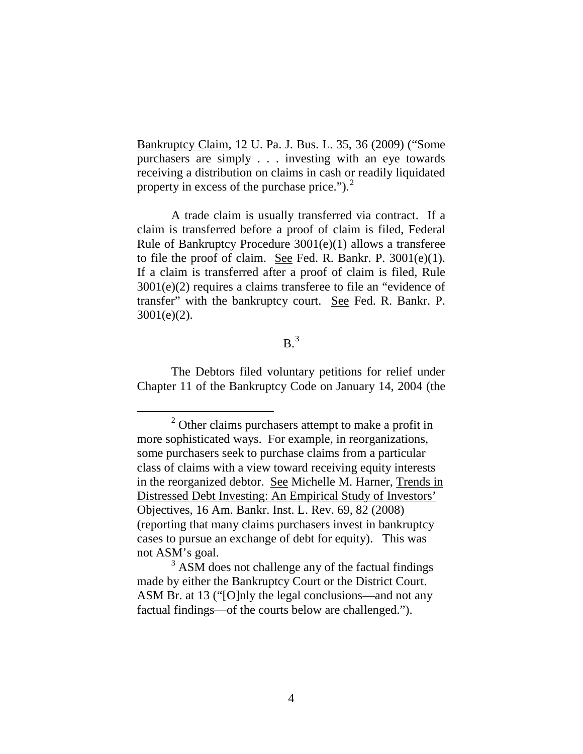Bankruptcy Claim, 12 U. Pa. J. Bus. L. 35, 36 (2009) ("Some purchasers are simply . . . investing with an eye towards receiving a distribution on claims in cash or readily liquidated property in excess of the purchase price.").<sup>[2](#page-3-0)</sup>

A trade claim is usually transferred via contract. If a claim is transferred before a proof of claim is filed, Federal Rule of Bankruptcy Procedure 3001(e)(1) allows a transferee to file the proof of claim. See Fed. R. Bankr. P. 3001(e)(1). If a claim is transferred after a proof of claim is filed, Rule 3001(e)(2) requires a claims transferee to file an "evidence of transfer" with the bankruptcy court. See Fed. R. Bankr. P. 3001(e)(2).

### $B<sup>3</sup>$  $B<sup>3</sup>$  $B<sup>3</sup>$

The Debtors filed voluntary petitions for relief under Chapter 11 of the Bankruptcy Code on January 14, 2004 (the

<span id="page-3-0"></span><sup>&</sup>lt;sup>2</sup> Other claims purchasers attempt to make a profit in more sophisticated ways. For example, in reorganizations, some purchasers seek to purchase claims from a particular class of claims with a view toward receiving equity interests in the reorganized debtor. See Michelle M. Harner, Trends in Distressed Debt Investing: An Empirical Study of Investors' Objectives, 16 Am. Bankr. Inst. L. Rev. 69, 82 (2008) (reporting that many claims purchasers invest in bankruptcy cases to pursue an exchange of debt for equity). This was not ASM's goal.

<span id="page-3-1"></span> $3$  ASM does not challenge any of the factual findings made by either the Bankruptcy Court or the District Court. ASM Br. at 13 ("[O]nly the legal conclusions—and not any factual findings—of the courts below are challenged.").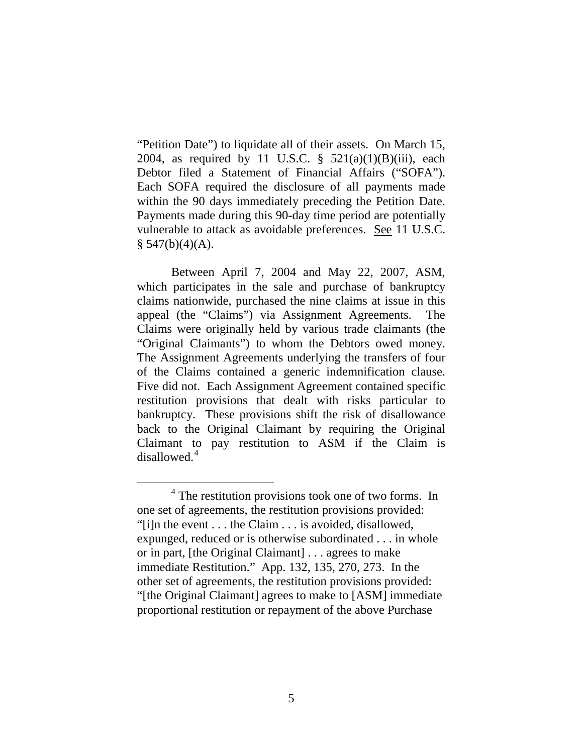"Petition Date") to liquidate all of their assets. On March 15, 2004, as required by 11 U.S.C.  $\S$  521(a)(1)(B)(iii), each Debtor filed a Statement of Financial Affairs ("SOFA"). Each SOFA required the disclosure of all payments made within the 90 days immediately preceding the Petition Date. Payments made during this 90-day time period are potentially vulnerable to attack as avoidable preferences. See 11 U.S.C.  $§ 547(b)(4)(A).$ 

Between April 7, 2004 and May 22, 2007, ASM, which participates in the sale and purchase of bankruptcy claims nationwide, purchased the nine claims at issue in this appeal (the "Claims") via Assignment Agreements. The Claims were originally held by various trade claimants (the "Original Claimants") to whom the Debtors owed money. The Assignment Agreements underlying the transfers of four of the Claims contained a generic indemnification clause. Five did not. Each Assignment Agreement contained specific restitution provisions that dealt with risks particular to bankruptcy. These provisions shift the risk of disallowance back to the Original Claimant by requiring the Original Claimant to pay restitution to ASM if the Claim is disallowed.<sup>[4](#page-4-0)</sup>

<span id="page-4-0"></span> $4$  The restitution provisions took one of two forms. In one set of agreements, the restitution provisions provided: "[i]n the event . . . the Claim . . . is avoided, disallowed, expunged, reduced or is otherwise subordinated . . . in whole or in part, [the Original Claimant] . . . agrees to make immediate Restitution." App. 132, 135, 270, 273. In the other set of agreements, the restitution provisions provided: "[the Original Claimant] agrees to make to [ASM] immediate proportional restitution or repayment of the above Purchase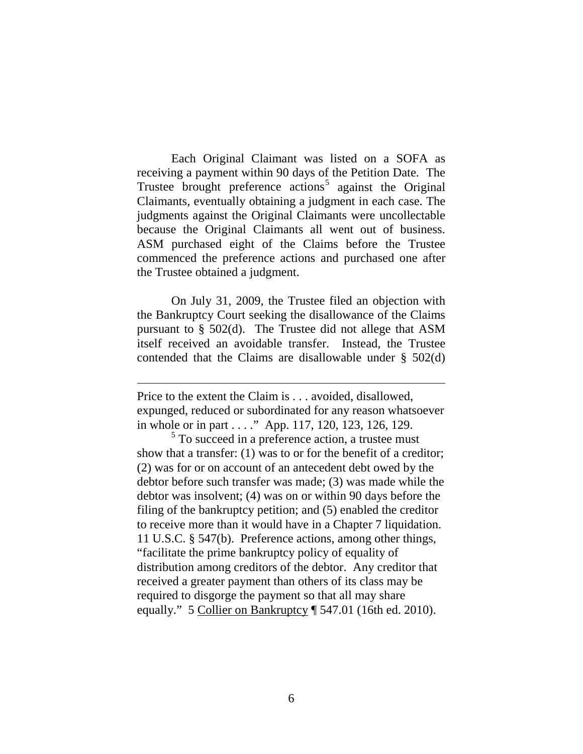Each Original Claimant was listed on a SOFA as receiving a payment within 90 days of the Petition Date. The Trustee brought preference actions<sup>[5](#page-5-0)</sup> against the Original Claimants, eventually obtaining a judgment in each case. The judgments against the Original Claimants were uncollectable because the Original Claimants all went out of business. ASM purchased eight of the Claims before the Trustee commenced the preference actions and purchased one after the Trustee obtained a judgment.

On July 31, 2009, the Trustee filed an objection with the Bankruptcy Court seeking the disallowance of the Claims pursuant to § 502(d). The Trustee did not allege that ASM itself received an avoidable transfer. Instead, the Trustee contended that the Claims are disallowable under § 502(d)

Price to the extent the Claim is . . . avoided, disallowed, expunged, reduced or subordinated for any reason whatsoever in whole or in part . . . ." App. 117, 120, 123, 126, 129.

 $\overline{a}$ 

<span id="page-5-0"></span><sup>5</sup> To succeed in a preference action, a trustee must show that a transfer: (1) was to or for the benefit of a creditor; (2) was for or on account of an antecedent debt owed by the debtor before such transfer was made; (3) was made while the debtor was insolvent; (4) was on or within 90 days before the filing of the bankruptcy petition; and (5) enabled the creditor to receive more than it would have in a Chapter 7 liquidation. 11 U.S.C. § 547(b). Preference actions, among other things, "facilitate the prime bankruptcy policy of equality of distribution among creditors of the debtor. Any creditor that received a greater payment than others of its class may be required to disgorge the payment so that all may share equally." 5 Collier on Bankruptcy | 547.01 (16th ed. 2010).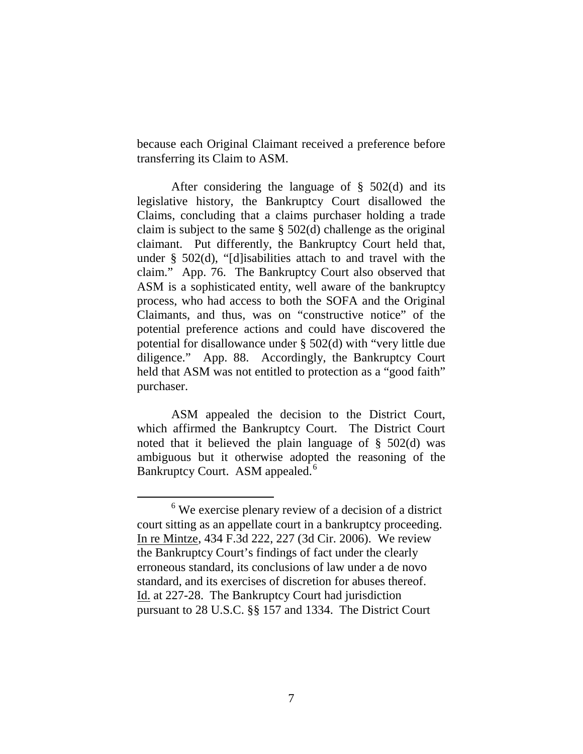because each Original Claimant received a preference before transferring its Claim to ASM.

After considering the language of  $\S$  502(d) and its legislative history, the Bankruptcy Court disallowed the Claims, concluding that a claims purchaser holding a trade claim is subject to the same § 502(d) challenge as the original claimant. Put differently, the Bankruptcy Court held that, under § 502(d), "[d]isabilities attach to and travel with the claim." App. 76. The Bankruptcy Court also observed that ASM is a sophisticated entity, well aware of the bankruptcy process, who had access to both the SOFA and the Original Claimants, and thus, was on "constructive notice" of the potential preference actions and could have discovered the potential for disallowance under § 502(d) with "very little due diligence." App. 88. Accordingly, the Bankruptcy Court held that ASM was not entitled to protection as a "good faith" purchaser.

ASM appealed the decision to the District Court, which affirmed the Bankruptcy Court. The District Court noted that it believed the plain language of  $\S$  502(d) was ambiguous but it otherwise adopted the reasoning of the Bankruptcy Court. ASM appealed.<sup>[6](#page-6-0)</sup>

<span id="page-6-0"></span> <sup>6</sup> We exercise plenary review of a decision of a district court sitting as an appellate court in a bankruptcy proceeding. In re Mintze, 434 F.3d 222, 227 (3d Cir. 2006). We review the Bankruptcy Court's findings of fact under the clearly erroneous standard, its conclusions of law under a de novo standard, and its exercises of discretion for abuses thereof. Id. at 227-28. The Bankruptcy Court had jurisdiction pursuant to 28 U.S.C. §§ 157 and 1334. The District Court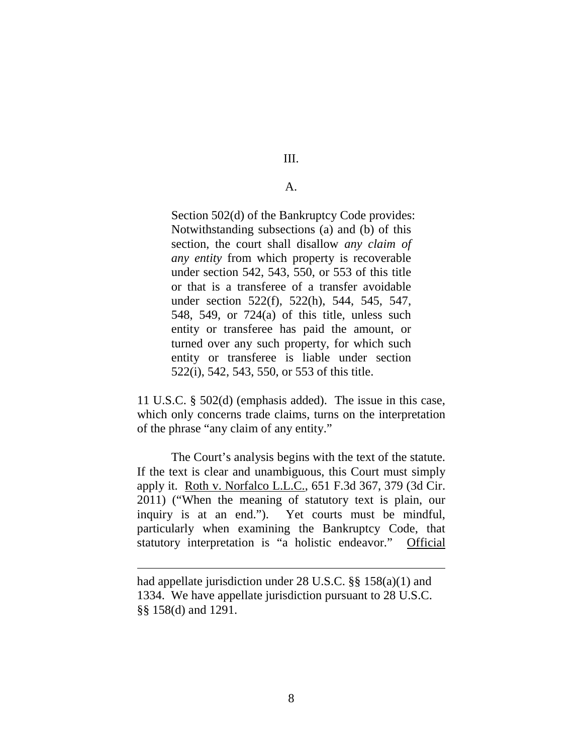III.

A.

Section 502(d) of the Bankruptcy Code provides: Notwithstanding subsections (a) and (b) of this section, the court shall disallow *any claim of any entity* from which property is recoverable under section 542, 543, 550, or 553 of this title or that is a transferee of a transfer avoidable under section 522(f), 522(h), 544, 545, 547, 548, 549, or 724(a) of this title, unless such entity or transferee has paid the amount, or turned over any such property, for which such entity or transferee is liable under section 522(i), 542, 543, 550, or 553 of this title.

11 U.S.C. § 502(d) (emphasis added). The issue in this case, which only concerns trade claims, turns on the interpretation of the phrase "any claim of any entity."

The Court's analysis begins with the text of the statute. If the text is clear and unambiguous, this Court must simply apply it. Roth v. Norfalco L.L.C., 651 F.3d 367, 379 (3d Cir. 2011) ("When the meaning of statutory text is plain, our inquiry is at an end."). Yet courts must be mindful, particularly when examining the Bankruptcy Code, that statutory interpretation is "a holistic endeavor." Official

had appellate jurisdiction under 28 U.S.C. §§ 158(a)(1) and 1334. We have appellate jurisdiction pursuant to 28 U.S.C. §§ 158(d) and 1291.

 $\overline{a}$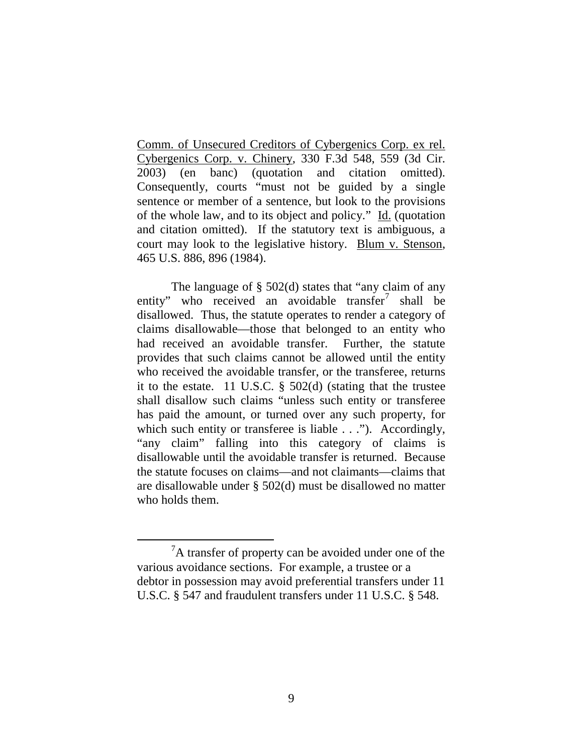Comm. of Unsecured Creditors of Cybergenics Corp. ex rel. Cybergenics Corp. v. Chinery, 330 F.3d 548, 559 (3d Cir. 2003) (en banc) (quotation and citation omitted). Consequently, courts "must not be guided by a single sentence or member of a sentence, but look to the provisions of the whole law, and to its object and policy." Id. (quotation and citation omitted). If the statutory text is ambiguous, a court may look to the legislative history. Blum v. Stenson, 465 U.S. 886, 896 (1984).

The language of § 502(d) states that "any claim of any entity" who received an avoidable transfer<sup>[7](#page-8-0)</sup> shall be disallowed. Thus, the statute operates to render a category of claims disallowable—those that belonged to an entity who had received an avoidable transfer. Further, the statute provides that such claims cannot be allowed until the entity who received the avoidable transfer, or the transferee, returns it to the estate. 11 U.S.C. § 502(d) (stating that the trustee shall disallow such claims "unless such entity or transferee has paid the amount, or turned over any such property, for which such entity or transferee is liable . . ."). Accordingly, "any claim" falling into this category of claims is disallowable until the avoidable transfer is returned. Because the statute focuses on claims—and not claimants—claims that are disallowable under § 502(d) must be disallowed no matter who holds them.

<span id="page-8-0"></span> $\overline{7}$  ${}^{7}$ A transfer of property can be avoided under one of the various avoidance sections. For example, a trustee or a debtor in possession may avoid preferential transfers under 11 U.S.C. § 547 and fraudulent transfers under 11 U.S.C. § 548.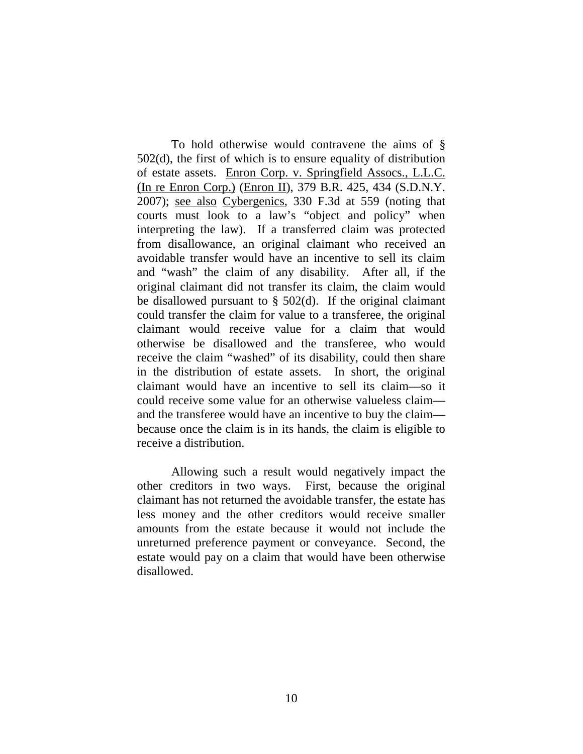To hold otherwise would contravene the aims of § 502(d), the first of which is to ensure equality of distribution of estate assets. Enron Corp. v. Springfield Assocs., L.L.C. (In re Enron Corp.) (Enron II), 379 B.R. 425, 434 (S.D.N.Y. 2007); see also Cybergenics, 330 F.3d at 559 (noting that courts must look to a law's "object and policy" when interpreting the law). If a transferred claim was protected from disallowance, an original claimant who received an avoidable transfer would have an incentive to sell its claim and "wash" the claim of any disability. After all, if the original claimant did not transfer its claim, the claim would be disallowed pursuant to  $\S$  502(d). If the original claimant could transfer the claim for value to a transferee, the original claimant would receive value for a claim that would otherwise be disallowed and the transferee, who would receive the claim "washed" of its disability, could then share in the distribution of estate assets. In short, the original claimant would have an incentive to sell its claim—so it could receive some value for an otherwise valueless claim and the transferee would have an incentive to buy the claim because once the claim is in its hands, the claim is eligible to receive a distribution.

Allowing such a result would negatively impact the other creditors in two ways. First, because the original claimant has not returned the avoidable transfer, the estate has less money and the other creditors would receive smaller amounts from the estate because it would not include the unreturned preference payment or conveyance. Second, the estate would pay on a claim that would have been otherwise disallowed.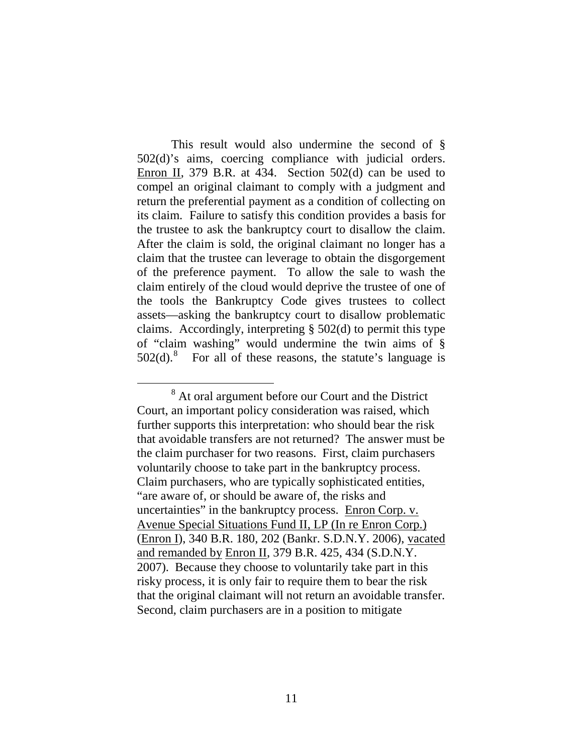This result would also undermine the second of § 502(d)'s aims, coercing compliance with judicial orders. Enron II, 379 B.R. at 434. Section 502(d) can be used to compel an original claimant to comply with a judgment and return the preferential payment as a condition of collecting on its claim. Failure to satisfy this condition provides a basis for the trustee to ask the bankruptcy court to disallow the claim. After the claim is sold, the original claimant no longer has a claim that the trustee can leverage to obtain the disgorgement of the preference payment. To allow the sale to wash the claim entirely of the cloud would deprive the trustee of one of the tools the Bankruptcy Code gives trustees to collect assets—asking the bankruptcy court to disallow problematic claims. Accordingly, interpreting § 502(d) to permit this type of "claim washing" would undermine the twin aims of §  $502(d).$ <sup>[8](#page-10-0)</sup> For all of these reasons, the statute's language is

<span id="page-10-0"></span> <sup>8</sup> At oral argument before our Court and the District Court, an important policy consideration was raised, which further supports this interpretation: who should bear the risk that avoidable transfers are not returned? The answer must be the claim purchaser for two reasons. First, claim purchasers voluntarily choose to take part in the bankruptcy process. Claim purchasers, who are typically sophisticated entities, "are aware of, or should be aware of, the risks and uncertainties" in the bankruptcy process. Enron Corp. v. Avenue Special Situations Fund II, LP (In re Enron Corp.) (Enron I), 340 B.R. 180, 202 (Bankr. S.D.N.Y. 2006), vacated and remanded by Enron II, 379 B.R. 425, 434 (S.D.N.Y. 2007). Because they choose to voluntarily take part in this risky process, it is only fair to require them to bear the risk that the original claimant will not return an avoidable transfer. Second, claim purchasers are in a position to mitigate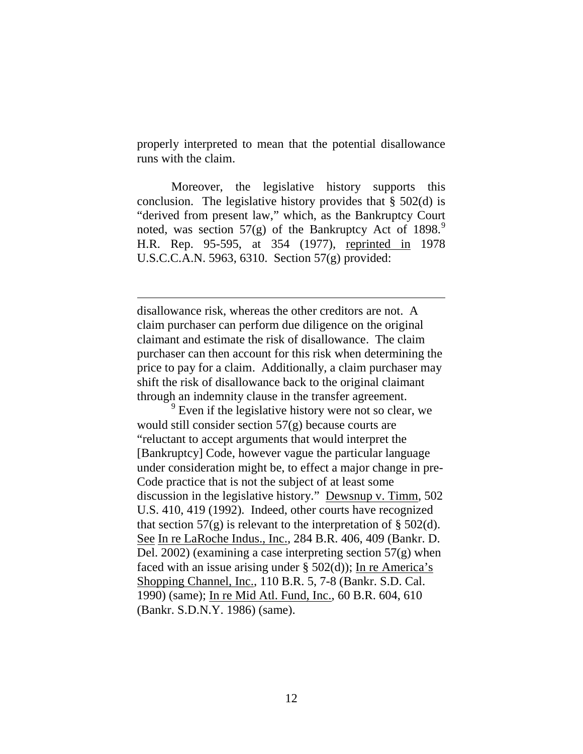properly interpreted to mean that the potential disallowance runs with the claim.

Moreover, the legislative history supports this conclusion. The legislative history provides that  $\S$  502(d) is "derived from present law," which, as the Bankruptcy Court noted, was section  $57(g)$  of the Bankruptcy Act of 18[9](#page-11-0)8.<sup>9</sup> H.R. Rep. 95-595, at 354 (1977), reprinted in 1978 U.S.C.C.A.N. 5963, 6310. Section 57(g) provided:

disallowance risk, whereas the other creditors are not. A claim purchaser can perform due diligence on the original claimant and estimate the risk of disallowance. The claim purchaser can then account for this risk when determining the price to pay for a claim. Additionally, a claim purchaser may shift the risk of disallowance back to the original claimant through an indemnity clause in the transfer agreement.

 $\overline{a}$ 

<span id="page-11-0"></span> $9<sup>9</sup>$  Even if the legislative history were not so clear, we would still consider section 57(g) because courts are "reluctant to accept arguments that would interpret the [Bankruptcy] Code, however vague the particular language under consideration might be, to effect a major change in pre-Code practice that is not the subject of at least some discussion in the legislative history." Dewsnup v. Timm, 502 U.S. 410, 419 (1992). Indeed, other courts have recognized that section  $57(g)$  is relevant to the interpretation of § 502(d). See In re LaRoche Indus., Inc., 284 B.R. 406, 409 (Bankr. D. Del. 2002) (examining a case interpreting section 57(g) when faced with an issue arising under  $\S$  502(d)); In re America's Shopping Channel, Inc., 110 B.R. 5, 7-8 (Bankr. S.D. Cal. 1990) (same); In re Mid Atl. Fund, Inc., 60 B.R. 604, 610 (Bankr. S.D.N.Y. 1986) (same).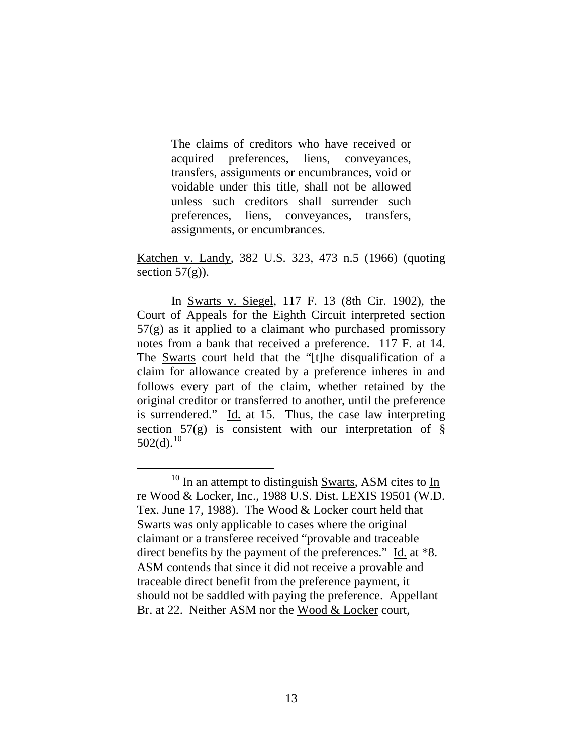The claims of creditors who have received or acquired preferences, liens, conveyances, transfers, assignments or encumbrances, void or voidable under this title, shall not be allowed unless such creditors shall surrender such preferences, liens, conveyances, transfers, assignments, or encumbrances.

Katchen v. Landy, 382 U.S. 323, 473 n.5 (1966) (quoting section  $57(g)$ ).

In Swarts v. Siegel, 117 F. 13 (8th Cir. 1902), the Court of Appeals for the Eighth Circuit interpreted section 57(g) as it applied to a claimant who purchased promissory notes from a bank that received a preference. 117 F. at 14. The Swarts court held that the "[t]he disqualification of a claim for allowance created by a preference inheres in and follows every part of the claim, whether retained by the original creditor or transferred to another, until the preference is surrendered." Id. at 15. Thus, the case law interpreting section  $57(g)$  is consistent with our interpretation of §  $502(d).^{10}$  $502(d).^{10}$  $502(d).^{10}$ 

<span id="page-12-0"></span> $10$  In an attempt to distinguish Swarts, ASM cites to  $\underline{\text{In}}$ re Wood & Locker, Inc., 1988 U.S. Dist. LEXIS 19501 (W.D. Tex. June 17, 1988). The Wood & Locker court held that Swarts was only applicable to cases where the original claimant or a transferee received "provable and traceable direct benefits by the payment of the preferences." Id. at \*8. ASM contends that since it did not receive a provable and traceable direct benefit from the preference payment, it should not be saddled with paying the preference. Appellant Br. at 22. Neither ASM nor the Wood & Locker court,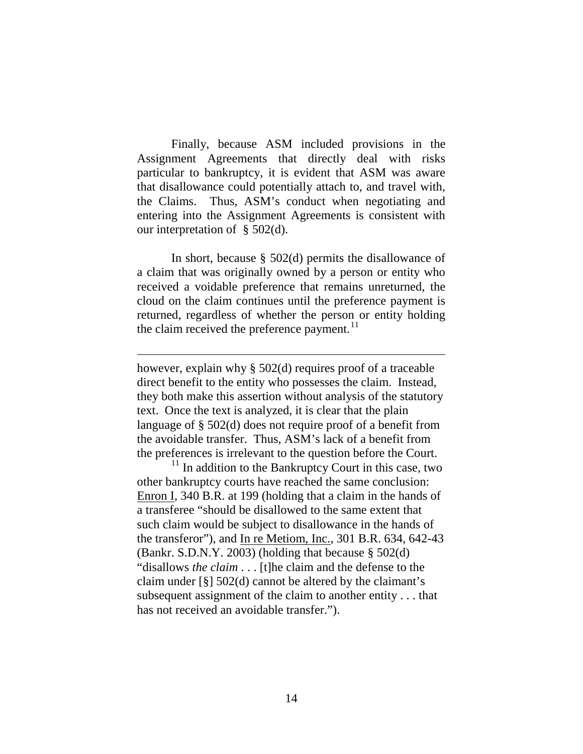Finally, because ASM included provisions in the Assignment Agreements that directly deal with risks particular to bankruptcy, it is evident that ASM was aware that disallowance could potentially attach to, and travel with, the Claims. Thus, ASM's conduct when negotiating and entering into the Assignment Agreements is consistent with our interpretation of § 502(d).

In short, because § 502(d) permits the disallowance of a claim that was originally owned by a person or entity who received a voidable preference that remains unreturned, the cloud on the claim continues until the preference payment is returned, regardless of whether the person or entity holding the claim received the preference payment. $^{11}$  $^{11}$  $^{11}$ 

however, explain why § 502(d) requires proof of a traceable direct benefit to the entity who possesses the claim. Instead, they both make this assertion without analysis of the statutory text. Once the text is analyzed, it is clear that the plain language of § 502(d) does not require proof of a benefit from the avoidable transfer. Thus, ASM's lack of a benefit from the preferences is irrelevant to the question before the Court.

 $\overline{a}$ 

<span id="page-13-0"></span> $11$  In addition to the Bankruptcy Court in this case, two other bankruptcy courts have reached the same conclusion: Enron I, 340 B.R. at 199 (holding that a claim in the hands of a transferee "should be disallowed to the same extent that such claim would be subject to disallowance in the hands of the transferor"), and In re Metiom, Inc., 301 B.R. 634, 642-43 (Bankr. S.D.N.Y. 2003) (holding that because § 502(d) "disallows *the claim* . . . [t]he claim and the defense to the claim under [§] 502(d) cannot be altered by the claimant's subsequent assignment of the claim to another entity . . . that has not received an avoidable transfer.").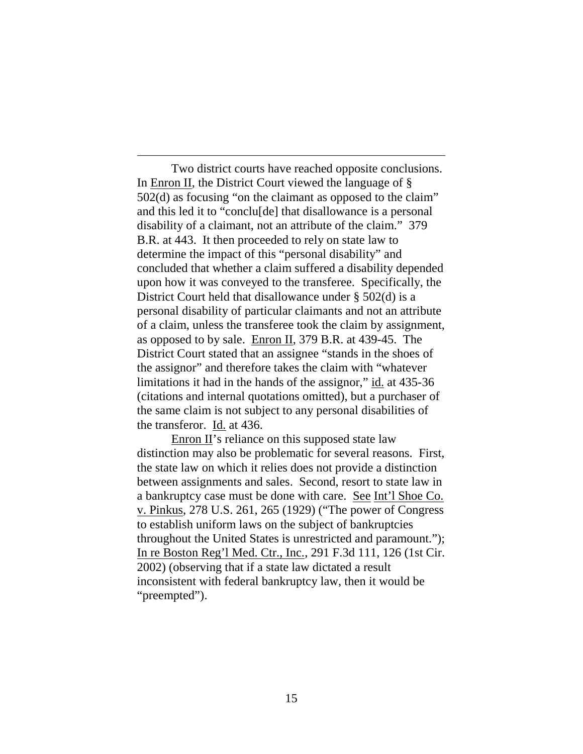Two district courts have reached opposite conclusions. In Enron II, the District Court viewed the language of § 502(d) as focusing "on the claimant as opposed to the claim" and this led it to "conclu[de] that disallowance is a personal disability of a claimant, not an attribute of the claim." 379 B.R. at 443. It then proceeded to rely on state law to determine the impact of this "personal disability" and concluded that whether a claim suffered a disability depended upon how it was conveyed to the transferee. Specifically, the District Court held that disallowance under § 502(d) is a personal disability of particular claimants and not an attribute of a claim, unless the transferee took the claim by assignment, as opposed to by sale. Enron II, 379 B.R. at 439-45. The District Court stated that an assignee "stands in the shoes of the assignor" and therefore takes the claim with "whatever limitations it had in the hands of the assignor," id. at 435-36 (citations and internal quotations omitted), but a purchaser of the same claim is not subject to any personal disabilities of the transferor. Id. at 436.

-

Enron  $II$ 's reliance on this supposed state law distinction may also be problematic for several reasons. First, the state law on which it relies does not provide a distinction between assignments and sales. Second, resort to state law in a bankruptcy case must be done with care. See Int'l Shoe Co. v. Pinkus, 278 U.S. 261, 265 (1929) ("The power of Congress to establish uniform laws on the subject of bankruptcies throughout the United States is unrestricted and paramount."); In re Boston Reg'l Med. Ctr., Inc., 291 F.3d 111, 126 (1st Cir. 2002) (observing that if a state law dictated a result inconsistent with federal bankruptcy law, then it would be "preempted").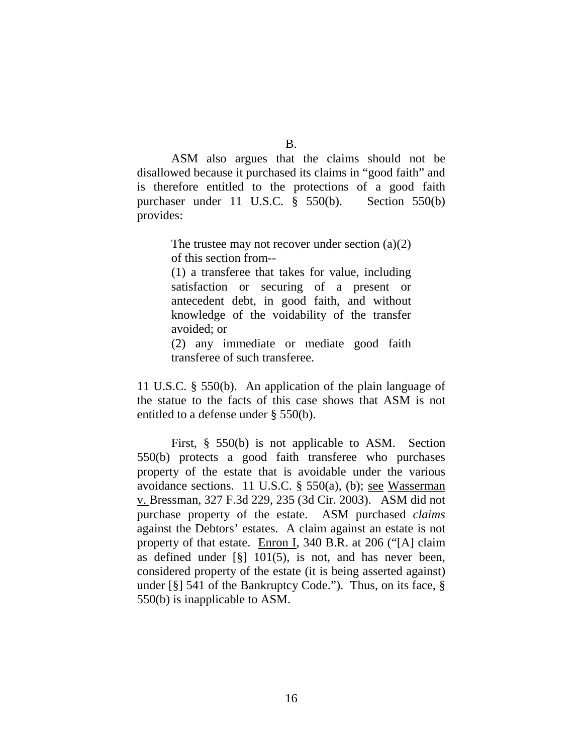B.

ASM also argues that the claims should not be disallowed because it purchased its claims in "good faith" and is therefore entitled to the protections of a good faith purchaser under 11 U.S.C. § 550(b). Section 550(b) provides:

> The trustee may not recover under section  $(a)(2)$ of this section from--

> (1) a transferee that takes for value, including satisfaction or securing of a present or antecedent debt, in good faith, and without knowledge of the voidability of the transfer avoided; or

> (2) any immediate or mediate good faith transferee of such transferee.

11 U.S.C. § 550(b). An application of the plain language of the statue to the facts of this case shows that ASM is not entitled to a defense under § 550(b).

First, § 550(b) is not applicable to ASM. Section 550(b) protects a good faith transferee who purchases property of the estate that is avoidable under the various avoidance sections. 11 U.S.C. § 550(a), (b); see Wasserman v. Bressman, 327 F.3d 229, 235 (3d Cir. 2003). ASM did not purchase property of the estate. ASM purchased *claims* against the Debtors' estates. A claim against an estate is not property of that estate. Enron I, 340 B.R. at 206 ("[A] claim as defined under [§] 101(5), is not, and has never been, considered property of the estate (it is being asserted against) under [§] 541 of the Bankruptcy Code."). Thus, on its face, § 550(b) is inapplicable to ASM.